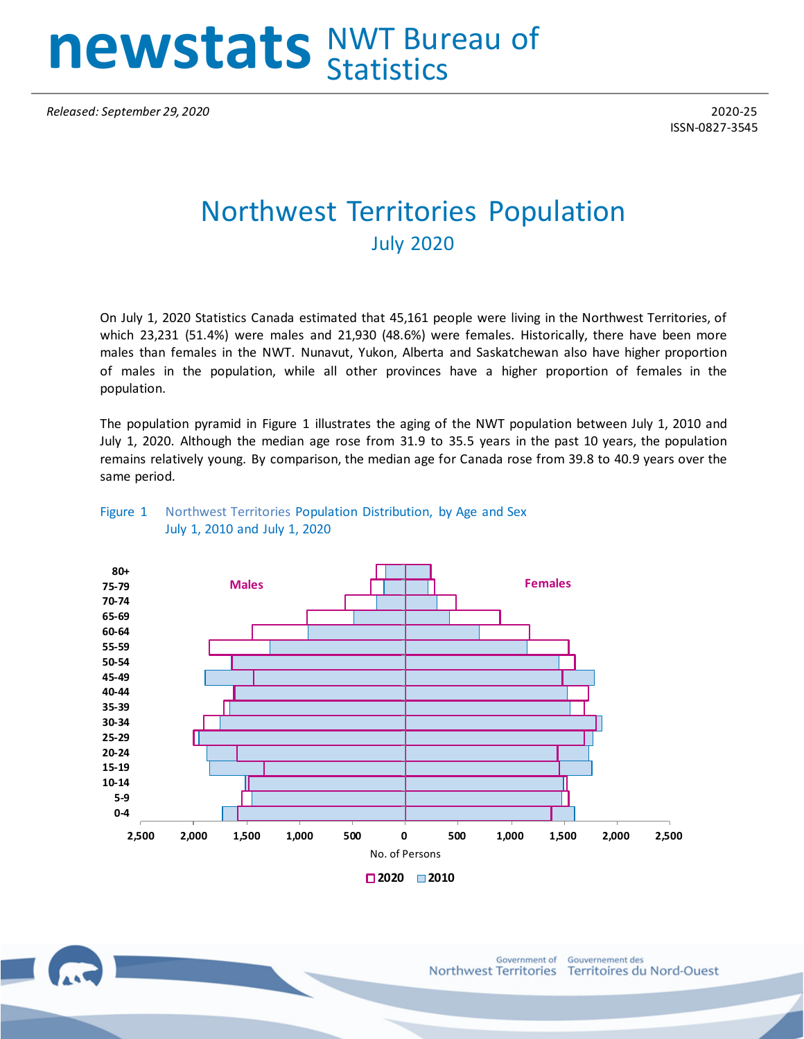# **newstats** NWT Bureau of **Statistics**

*Released: September 29, 2020* 2020-25

ISSN-0827-3545

## Northwest Territories Population July 2020

On July 1, 2020 Statistics Canada estimated that 45,161 people were living in the Northwest Territories, of which 23,231 (51.4%) were males and 21,930 (48.6%) were females. Historically, there have been more males than females in the NWT. Nunavut, Yukon, Alberta and Saskatchewan also have higher proportion of males in the population, while all other provinces have a higher proportion of females in the population.

The population pyramid in Figure 1 illustrates the aging of the NWT population between July 1, 2010 and July 1, 2020. Although the median age rose from 31.9 to 35.5 years in the past 10 years, the population remains relatively young. By comparison, the median age for Canada rose from 39.8 to 40.9 years over the same period.



#### Figure 1 Northwest Territories Population Distribution, by Age and Sex July 1, 2010 and July 1, 2020

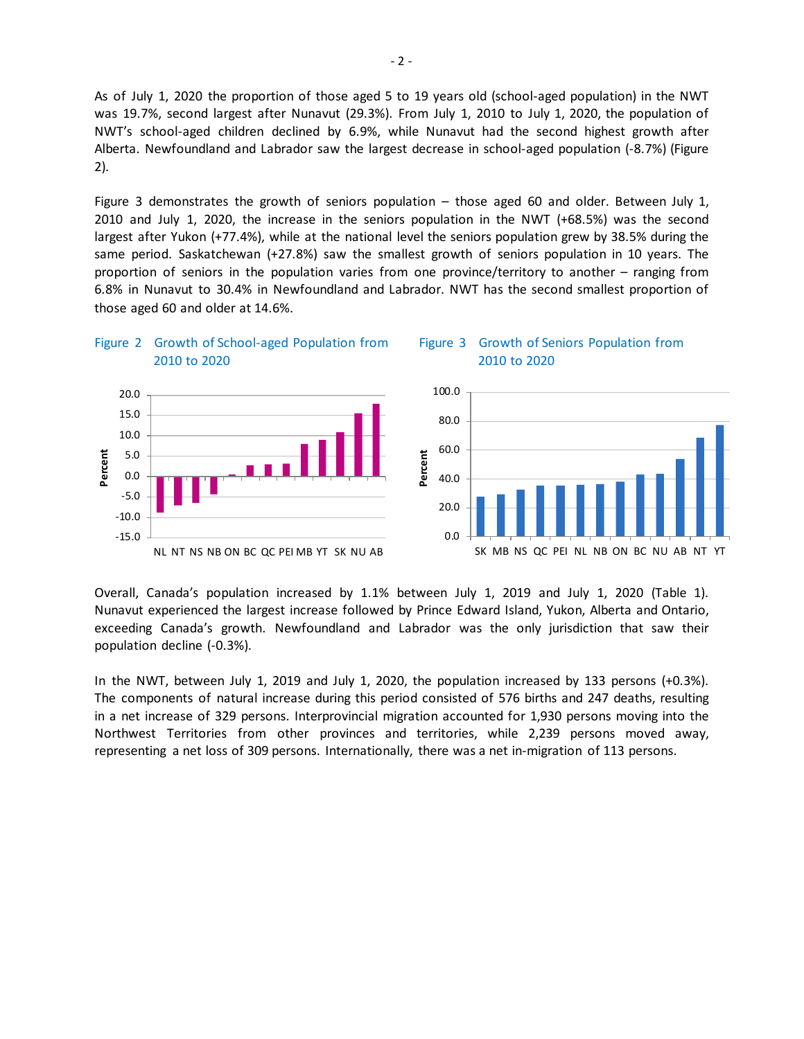As of July 1, 2020 the proportion of those aged 5 to 19 years old (school-aged population) in the NWT was 19.7%, second largest after Nunavut (29.3%). From July 1, 2010 to July 1, 2020, the population of NWT's school-aged children declined by 6.9%, while Nunavut had the second highest growth after Alberta. Newfoundland and Labrador saw the largest decrease in school-aged population (-8.7%) (Figure 2).

Figure 3 demonstrates the growth of seniors population – those aged 60 and older. Between July 1, 2010 and July 1, 2020, the increase in the seniors population in the NWT (+68.5%) was the second largest after Yukon (+77.4%), while at the national level the seniors population grew by 38.5% during the same period. Saskatchewan (+27.8%) saw the smallest growth of seniors population in 10 years. The proportion of seniors in the population varies from one province/territory to another – ranging from 6.8% in Nunavut to 30.4% in Newfoundland and Labrador. NWT has the second smallest proportion of those aged 60 and older at 14.6%.



Overall, Canada's population increased by 1.1% between July 1, 2019 and July 1, 2020 (Table 1). Nunavut experienced the largest increase followed by Prince Edward Island, Yukon, Alberta and Ontario, exceeding Canada's growth. Newfoundland and Labrador was the only jurisdiction that saw their population decline (-0.3%).

In the NWT, between July 1, 2019 and July 1, 2020, the population increased by 133 persons (+0.3%). The components of natural increase during this period consisted of 576 births and 247 deaths, resulting in a net increase of 329 persons. Interprovincial migration accounted for 1,930 persons moving into the Northwest Territories from other provinces and territories, while 2,239 persons moved away, representing a net loss of 309 persons. Internationally, there was a net in-migration of 113 persons.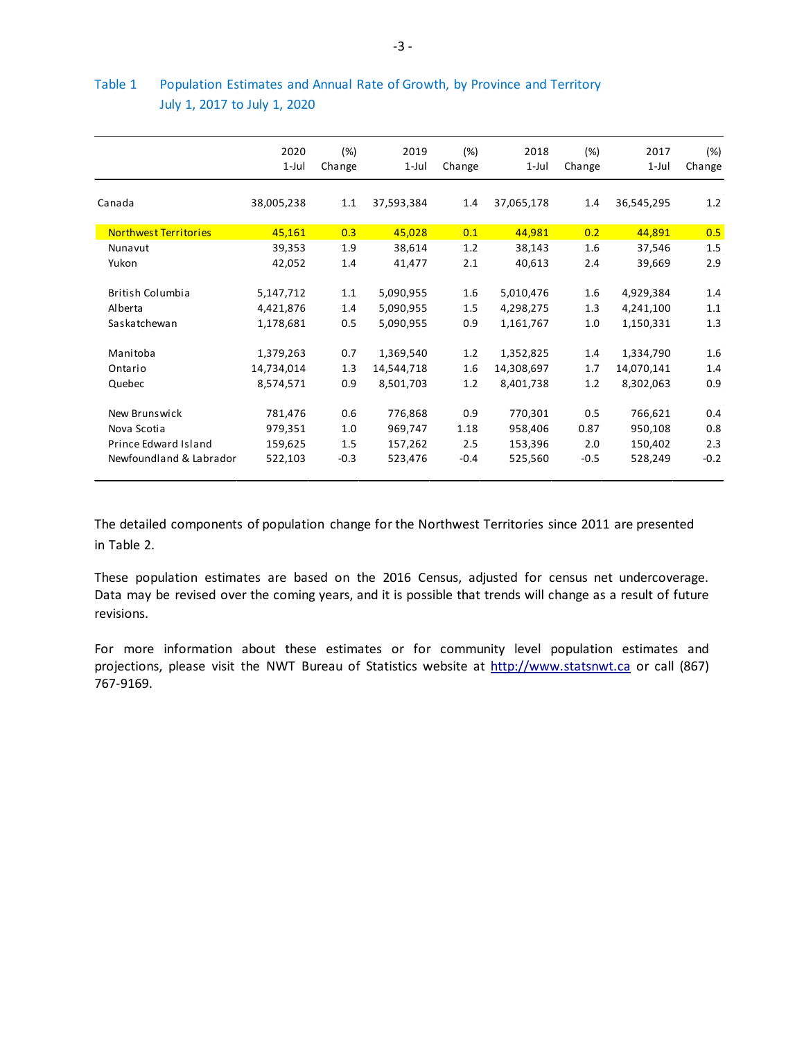|                              | 2020<br>$1$ -Jul | (%)<br>Change | 2019<br>1-Jul | (%)<br>Change | 2018<br>$1$ -Jul | (%)<br>Change | 2017<br>$1$ -Jul | (%)<br>Change |
|------------------------------|------------------|---------------|---------------|---------------|------------------|---------------|------------------|---------------|
| Canada                       | 38,005,238       | 1.1           | 37,593,384    | 1.4           | 37,065,178       | 1.4           | 36,545,295       | 1.2           |
| <b>Northwest Territories</b> | 45,161           | 0.3           | 45,028        | 0.1           | 44,981           | 0.2           | 44,891           | 0.5           |
| Nunavut                      | 39,353           | 1.9           | 38,614        | 1.2           | 38,143           | 1.6           | 37,546           | 1.5           |
| Yukon                        | 42,052           | 1.4           | 41,477        | 2.1           | 40,613           | 2.4           | 39,669           | 2.9           |
| <b>British Columbia</b>      | 5,147,712        | 1.1           | 5,090,955     | 1.6           | 5,010,476        | 1.6           | 4,929,384        | 1.4           |
| Alberta                      | 4,421,876        | 1.4           | 5,090,955     | 1.5           | 4,298,275        | 1.3           | 4,241,100        | 1.1           |
| Saskatchewan                 | 1,178,681        | 0.5           | 5,090,955     | 0.9           | 1,161,767        | 1.0           | 1,150,331        | 1.3           |
| Manitoba                     | 1,379,263        | 0.7           | 1,369,540     | 1.2           | 1,352,825        | 1.4           | 1,334,790        | 1.6           |
| Ontario                      | 14,734,014       | 1.3           | 14,544,718    | 1.6           | 14,308,697       | 1.7           | 14,070,141       | 1.4           |
| Quebec                       | 8,574,571        | 0.9           | 8,501,703     | 1.2           | 8,401,738        | 1.2           | 8,302,063        | 0.9           |
| New Brunswick                | 781,476          | 0.6           | 776,868       | 0.9           | 770,301          | 0.5           | 766,621          | 0.4           |
| Nova Scotia                  | 979,351          | 1.0           | 969,747       | 1.18          | 958,406          | 0.87          | 950,108          | 0.8           |
| Prince Edward Island         | 159,625          | 1.5           | 157,262       | 2.5           | 153,396          | 2.0           | 150,402          | 2.3           |
| Newfoundland & Labrador      | 522,103          | $-0.3$        | 523,476       | $-0.4$        | 525,560          | $-0.5$        | 528,249          | $-0.2$        |

### Table 1 Population Estimates and Annual Rate of Growth, by Province and Territory July 1, 2017 to July 1, 2020

The detailed components of population change for the Northwest Territories since 2011 are presented in Table 2.

These population estimates are based on the 2016 Census, adjusted for census net undercoverage. Data may be revised over the coming years, and it is possible that trends will change as a result of future revisions.

For more information about these estimates or for community level population estimates and projections, please visit the NWT Bureau of Statistics website at http://www.statsnwt.ca or call (867) 767-9169.